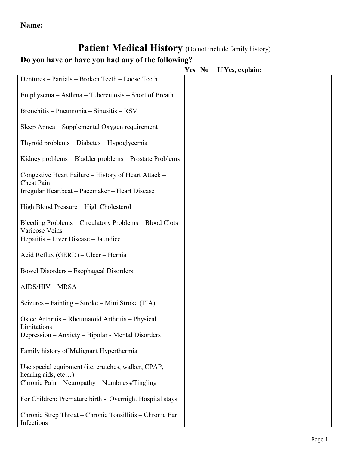# Patient Medical History (Do not include family history)

## **Do you have or have you had any of the following?**

|                                                                           | Yes No | If Yes, explain: |
|---------------------------------------------------------------------------|--------|------------------|
| Dentures - Partials - Broken Teeth - Loose Teeth                          |        |                  |
| Emphysema - Asthma - Tuberculosis - Short of Breath                       |        |                  |
| Bronchitis - Pneumonia - Sinusitis - RSV                                  |        |                  |
| Sleep Apnea - Supplemental Oxygen requirement                             |        |                  |
| Thyroid problems - Diabetes - Hypoglycemia                                |        |                  |
| Kidney problems - Bladder problems - Prostate Problems                    |        |                  |
| Congestive Heart Failure - History of Heart Attack -<br><b>Chest Pain</b> |        |                  |
| Irregular Heartbeat - Pacemaker - Heart Disease                           |        |                  |
| High Blood Pressure - High Cholesterol                                    |        |                  |
| Bleeding Problems - Circulatory Problems - Blood Clots<br>Varicose Veins  |        |                  |
| Hepatitis - Liver Disease - Jaundice                                      |        |                  |
| Acid Reflux (GERD) - Ulcer - Hernia                                       |        |                  |
| <b>Bowel Disorders - Esophageal Disorders</b>                             |        |                  |
| AIDS/HIV - MRSA                                                           |        |                  |
| Seizures – Fainting – Stroke – Mini Stroke (TIA)                          |        |                  |
| Osteo Arthritis – Rheumatoid Arthritis – Physical<br>Limitations          |        |                  |
| Depression - Anxiety - Bipolar - Mental Disorders                         |        |                  |
| Family history of Malignant Hyperthermia                                  |        |                  |
| Use special equipment (i.e. crutches, walker, CPAP,<br>hearing aids, etc) |        |                  |
| Chronic Pain - Neuropathy - Numbness/Tingling                             |        |                  |
| For Children: Premature birth - Overnight Hospital stays                  |        |                  |
| Chronic Strep Throat - Chronic Tonsillitis - Chronic Ear<br>Infections    |        |                  |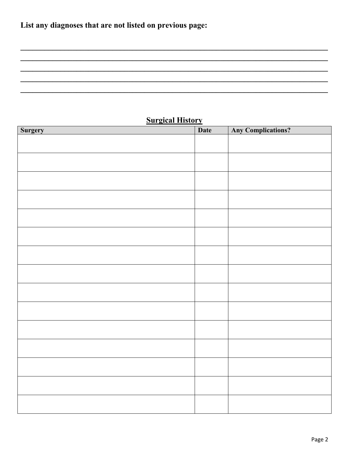## **Surgical History**

| <b>Surgery</b> | <b>Date</b> | <b>Any Complications?</b> |
|----------------|-------------|---------------------------|
|                |             |                           |
|                |             |                           |
|                |             |                           |
|                |             |                           |
|                |             |                           |
|                |             |                           |
|                |             |                           |
|                |             |                           |
|                |             |                           |
|                |             |                           |
|                |             |                           |
|                |             |                           |
|                |             |                           |
|                |             |                           |
|                |             |                           |
|                |             |                           |
|                |             |                           |
|                |             |                           |
|                |             |                           |
|                |             |                           |
|                |             |                           |
|                |             |                           |